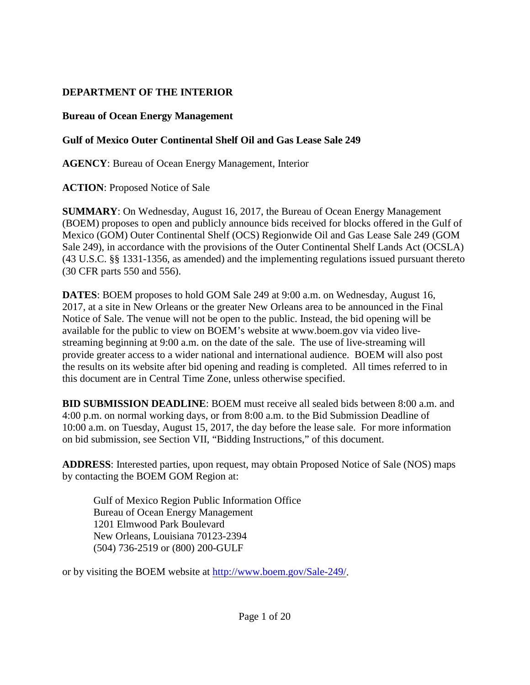## **DEPARTMENT OF THE INTERIOR**

### **Bureau of Ocean Energy Management**

## **Gulf of Mexico Outer Continental Shelf Oil and Gas Lease Sale 249**

**AGENCY**: Bureau of Ocean Energy Management, Interior

**ACTION**: Proposed Notice of Sale

**SUMMARY**: On Wednesday, August 16, 2017, the Bureau of Ocean Energy Management (BOEM) proposes to open and publicly announce bids received for blocks offered in the Gulf of Mexico (GOM) Outer Continental Shelf (OCS) Regionwide Oil and Gas Lease Sale 249 (GOM Sale 249), in accordance with the provisions of the Outer Continental Shelf Lands Act (OCSLA) (43 U.S.C. §§ 1331-1356, as amended) and the implementing regulations issued pursuant thereto (30 CFR parts 550 and 556).

**DATES**: BOEM proposes to hold GOM Sale 249 at 9:00 a.m. on Wednesday, August 16, 2017, at a site in New Orleans or the greater New Orleans area to be announced in the Final Notice of Sale. The venue will not be open to the public. Instead, the bid opening will be available for the public to view on BOEM's website at www.boem.gov via video livestreaming beginning at 9:00 a.m. on the date of the sale. The use of live-streaming will provide greater access to a wider national and international audience. BOEM will also post the results on its website after bid opening and reading is completed. All times referred to in this document are in Central Time Zone, unless otherwise specified.

**BID SUBMISSION DEADLINE**: BOEM must receive all sealed bids between 8:00 a.m. and 4:00 p.m. on normal working days, or from 8:00 a.m. to the Bid Submission Deadline of 10:00 a.m. on Tuesday, August 15, 2017, the day before the lease sale. For more information on bid submission, see Section VII, "Bidding Instructions," of this document.

**ADDRESS**: Interested parties, upon request, may obtain Proposed Notice of Sale (NOS) maps by contacting the BOEM GOM Region at:

Gulf of Mexico Region Public Information Office Bureau of Ocean Energy Management 1201 Elmwood Park Boulevard New Orleans, Louisiana 70123-2394 (504) 736-2519 or (800) 200-GULF

or by visiting the BOEM website at [http://www.boem.gov/Sale-249/.](http://www.boem.gov/Sale-249/)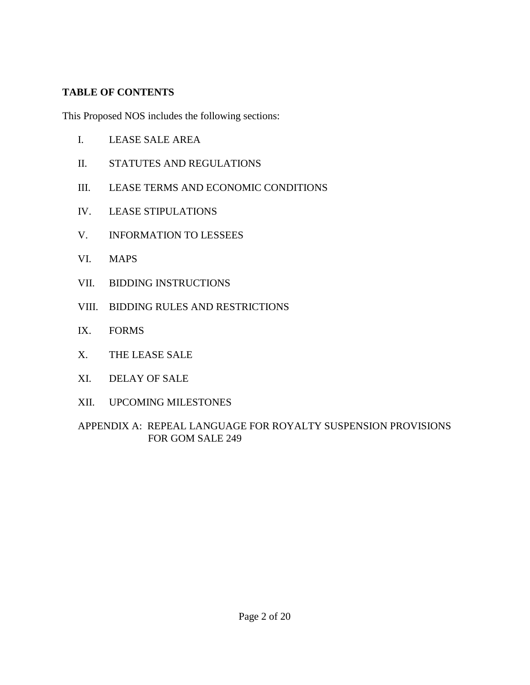### **TABLE OF CONTENTS**

This Proposed NOS includes the following sections:

- I. LEASE SALE AREA
- II. STATUTES AND REGULATIONS
- III. LEASE TERMS AND ECONOMIC CONDITIONS
- IV. LEASE STIPULATIONS
- V. INFORMATION TO LESSEES
- VI. MAPS
- VII. BIDDING INSTRUCTIONS
- VIII. BIDDING RULES AND RESTRICTIONS
- IX. FORMS
- X. THE LEASE SALE
- XI. DELAY OF SALE
- XII. UPCOMING MILESTONES

APPENDIX A: REPEAL LANGUAGE FOR ROYALTY SUSPENSION PROVISIONS FOR GOM SALE 249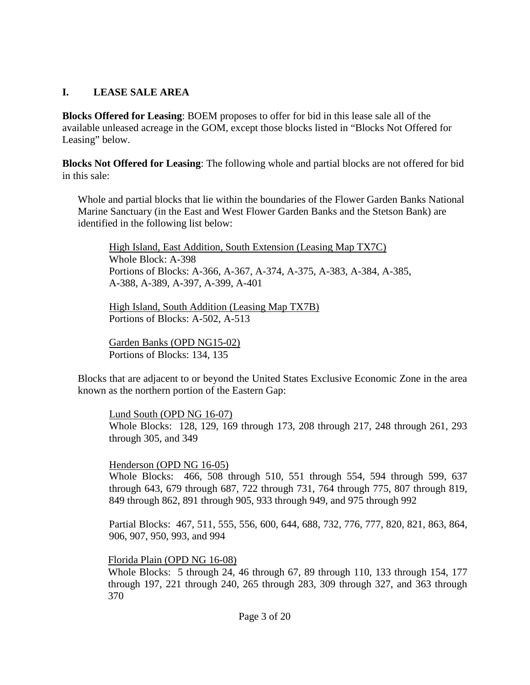#### **I. LEASE SALE AREA**

**Blocks Offered for Leasing**: BOEM proposes to offer for bid in this lease sale all of the available unleased acreage in the GOM, except those blocks listed in "Blocks Not Offered for Leasing" below.

**Blocks Not Offered for Leasing**: The following whole and partial blocks are not offered for bid in this sale:

Whole and partial blocks that lie within the boundaries of the Flower Garden Banks National Marine Sanctuary (in the East and West Flower Garden Banks and the Stetson Bank) are identified in the following list below:

High Island, East Addition, South Extension (Leasing Map TX7C) Whole Block: A-398 Portions of Blocks: A-366, A-367, A-374, A-375, A-383, A-384, A-385, A-388, A-389, A-397, A-399, A-401

High Island, South Addition (Leasing Map TX7B) Portions of Blocks: A-502, A-513

Garden Banks (OPD NG15-02) Portions of Blocks: 134, 135

Blocks that are adjacent to or beyond the United States Exclusive Economic Zone in the area known as the northern portion of the Eastern Gap:

Lund South (OPD NG 16-07)

Whole Blocks: 128, 129, 169 through 173, 208 through 217, 248 through 261, 293 through 305, and 349

Henderson (OPD NG 16-05)

Whole Blocks: 466, 508 through 510, 551 through 554, 594 through 599, 637 through 643, 679 through 687, 722 through 731, 764 through 775, 807 through 819, 849 through 862, 891 through 905, 933 through 949, and 975 through 992

Partial Blocks: 467, 511, 555, 556, 600, 644, 688, 732, 776, 777, 820, 821, 863, 864, 906, 907, 950, 993, and 994

#### Florida Plain (OPD NG 16-08)

Whole Blocks: 5 through 24, 46 through 67, 89 through 110, 133 through 154, 177 through 197, 221 through 240, 265 through 283, 309 through 327, and 363 through 370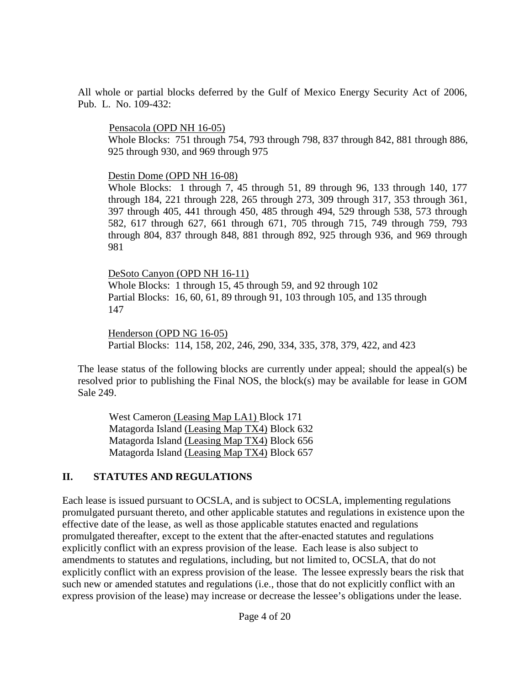All whole or partial blocks deferred by the Gulf of Mexico Energy Security Act of 2006, Pub. L. No. 109-432:

#### Pensacola (OPD NH 16-05)

Whole Blocks: 751 through 754, 793 through 798, 837 through 842, 881 through 886, 925 through 930, and 969 through 975

#### Destin Dome (OPD NH 16-08)

Whole Blocks: 1 through 7, 45 through 51, 89 through 96, 133 through 140, 177 through 184, 221 through 228, 265 through 273, 309 through 317, 353 through 361, 397 through 405, 441 through 450, 485 through 494, 529 through 538, 573 through 582, 617 through 627, 661 through 671, 705 through 715, 749 through 759, 793 through 804, 837 through 848, 881 through 892, 925 through 936, and 969 through 981

DeSoto Canyon (OPD NH 16-11) Whole Blocks: 1 through 15, 45 through 59, and 92 through 102 Partial Blocks: 16, 60, 61, 89 through 91, 103 through 105, and 135 through 147

Henderson (OPD NG 16-05) Partial Blocks: 114, 158, 202, 246, 290, 334, 335, 378, 379, 422, and 423

The lease status of the following blocks are currently under appeal; should the appeal(s) be resolved prior to publishing the Final NOS, the block(s) may be available for lease in GOM Sale 249.

West Cameron (Leasing Map LA1) Block 171 Matagorda Island (Leasing Map TX4) Block 632 Matagorda Island (Leasing Map TX4) Block 656 Matagorda Island (Leasing Map TX4) Block 657

## **II. STATUTES AND REGULATIONS**

Each lease is issued pursuant to OCSLA, and is subject to OCSLA, implementing regulations promulgated pursuant thereto, and other applicable statutes and regulations in existence upon the effective date of the lease, as well as those applicable statutes enacted and regulations promulgated thereafter, except to the extent that the after-enacted statutes and regulations explicitly conflict with an express provision of the lease. Each lease is also subject to amendments to statutes and regulations, including, but not limited to, OCSLA, that do not explicitly conflict with an express provision of the lease. The lessee expressly bears the risk that such new or amended statutes and regulations (i.e., those that do not explicitly conflict with an express provision of the lease) may increase or decrease the lessee's obligations under the lease.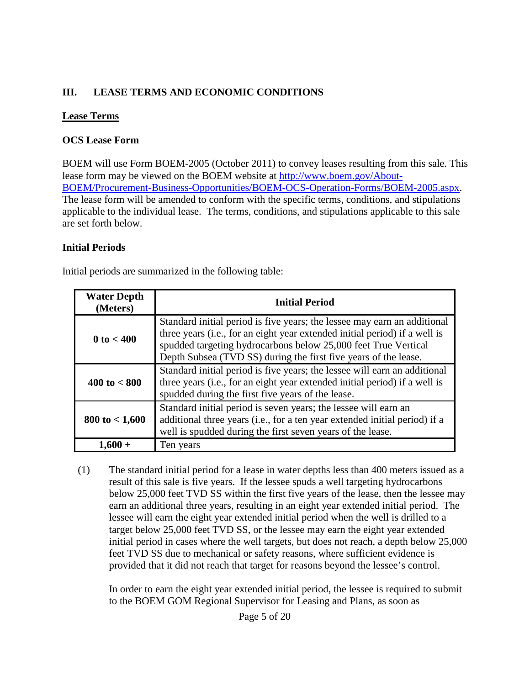## **III. LEASE TERMS AND ECONOMIC CONDITIONS**

#### **Lease Terms**

### **OCS Lease Form**

BOEM will use Form BOEM-2005 (October 2011) to convey leases resulting from this sale. This lease form may be viewed on the BOEM website at [http://www.boem.gov/About-](http://www.boem.gov/About-BOEM/Procurement-Business-Opportunities/BOEM-OCS-Operation-Forms/BOEM-2005.aspx)[BOEM/Procurement-Business-Opportunities/BOEM-OCS-Operation-Forms/BOEM-2005.aspx.](http://www.boem.gov/About-BOEM/Procurement-Business-Opportunities/BOEM-OCS-Operation-Forms/BOEM-2005.aspx) The lease form will be amended to conform with the specific terms, conditions, and stipulations applicable to the individual lease. The terms, conditions, and stipulations applicable to this sale are set forth below.

### **Initial Periods**

Initial periods are summarized in the following table:

| <b>Water Depth</b><br>(Meters) | <b>Initial Period</b>                                                                                                                                                                                                                                                                       |  |
|--------------------------------|---------------------------------------------------------------------------------------------------------------------------------------------------------------------------------------------------------------------------------------------------------------------------------------------|--|
| $0 \text{ to } < 400$          | Standard initial period is five years; the lessee may earn an additional<br>three years (i.e., for an eight year extended initial period) if a well is<br>spudded targeting hydrocarbons below 25,000 feet True Vertical<br>Depth Subsea (TVD SS) during the first five years of the lease. |  |
| $400 \text{ to} < 800$         | Standard initial period is five years; the lessee will earn an additional<br>three years (i.e., for an eight year extended initial period) if a well is<br>spudded during the first five years of the lease.                                                                                |  |
| $800 \text{ to } < 1,600$      | Standard initial period is seven years; the lessee will earn an<br>additional three years (i.e., for a ten year extended initial period) if a<br>well is spudded during the first seven years of the lease.                                                                                 |  |
| 1.60                           | Ten years                                                                                                                                                                                                                                                                                   |  |

(1) The standard initial period for a lease in water depths less than 400 meters issued as a result of this sale is five years. If the lessee spuds a well targeting hydrocarbons below 25,000 feet TVD SS within the first five years of the lease, then the lessee may earn an additional three years, resulting in an eight year extended initial period. The lessee will earn the eight year extended initial period when the well is drilled to a target below 25,000 feet TVD SS, or the lessee may earn the eight year extended initial period in cases where the well targets, but does not reach, a depth below 25,000 feet TVD SS due to mechanical or safety reasons, where sufficient evidence is provided that it did not reach that target for reasons beyond the lessee's control.

In order to earn the eight year extended initial period, the lessee is required to submit to the BOEM GOM Regional Supervisor for Leasing and Plans, as soon as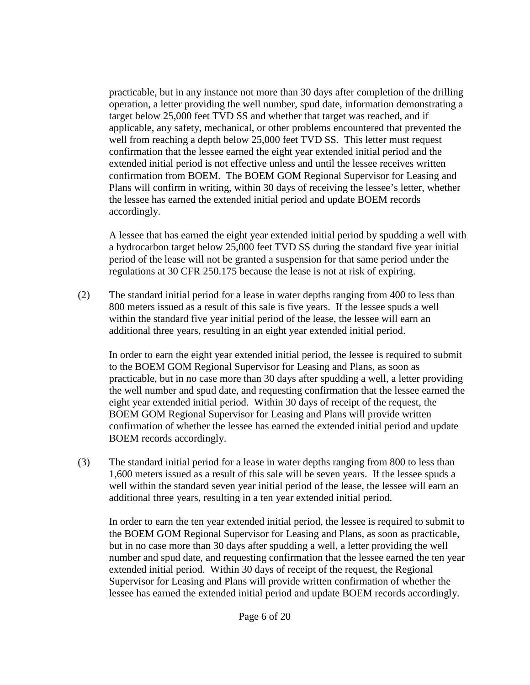practicable, but in any instance not more than 30 days after completion of the drilling operation, a letter providing the well number, spud date, information demonstrating a target below 25,000 feet TVD SS and whether that target was reached, and if applicable, any safety, mechanical, or other problems encountered that prevented the well from reaching a depth below 25,000 feet TVD SS. This letter must request confirmation that the lessee earned the eight year extended initial period and the extended initial period is not effective unless and until the lessee receives written confirmation from BOEM. The BOEM GOM Regional Supervisor for Leasing and Plans will confirm in writing, within 30 days of receiving the lessee's letter, whether the lessee has earned the extended initial period and update BOEM records accordingly.

A lessee that has earned the eight year extended initial period by spudding a well with a hydrocarbon target below 25,000 feet TVD SS during the standard five year initial period of the lease will not be granted a suspension for that same period under the regulations at 30 CFR 250.175 because the lease is not at risk of expiring.

(2) The standard initial period for a lease in water depths ranging from 400 to less than 800 meters issued as a result of this sale is five years. If the lessee spuds a well within the standard five year initial period of the lease, the lessee will earn an additional three years, resulting in an eight year extended initial period.

In order to earn the eight year extended initial period, the lessee is required to submit to the BOEM GOM Regional Supervisor for Leasing and Plans, as soon as practicable, but in no case more than 30 days after spudding a well, a letter providing the well number and spud date, and requesting confirmation that the lessee earned the eight year extended initial period. Within 30 days of receipt of the request, the BOEM GOM Regional Supervisor for Leasing and Plans will provide written confirmation of whether the lessee has earned the extended initial period and update BOEM records accordingly.

(3) The standard initial period for a lease in water depths ranging from 800 to less than 1,600 meters issued as a result of this sale will be seven years. If the lessee spuds a well within the standard seven year initial period of the lease, the lessee will earn an additional three years, resulting in a ten year extended initial period.

In order to earn the ten year extended initial period, the lessee is required to submit to the BOEM GOM Regional Supervisor for Leasing and Plans, as soon as practicable, but in no case more than 30 days after spudding a well, a letter providing the well number and spud date, and requesting confirmation that the lessee earned the ten year extended initial period. Within 30 days of receipt of the request, the Regional Supervisor for Leasing and Plans will provide written confirmation of whether the lessee has earned the extended initial period and update BOEM records accordingly.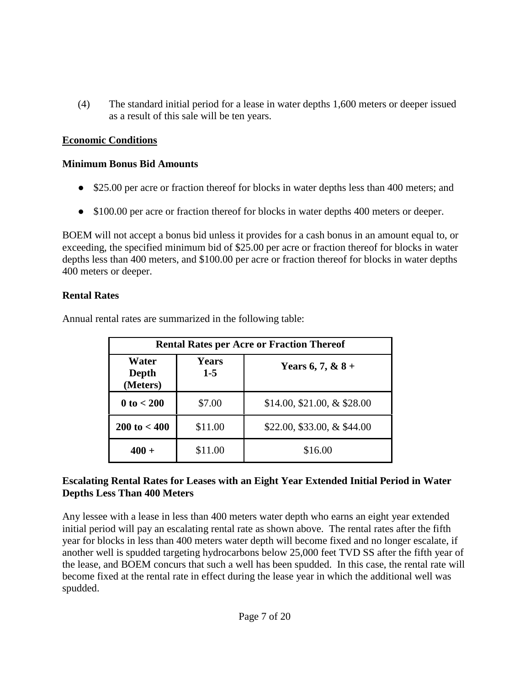(4) The standard initial period for a lease in water depths 1,600 meters or deeper issued as a result of this sale will be ten years.

## **Economic Conditions**

## **Minimum Bonus Bid Amounts**

- \$25.00 per acre or fraction thereof for blocks in water depths less than 400 meters; and
- \$100.00 per acre or fraction thereof for blocks in water depths 400 meters or deeper.

BOEM will not accept a bonus bid unless it provides for a cash bonus in an amount equal to, or exceeding, the specified minimum bid of \$25.00 per acre or fraction thereof for blocks in water depths less than 400 meters, and \$100.00 per acre or fraction thereof for blocks in water depths 400 meters or deeper.

## **Rental Rates**

Annual rental rates are summarized in the following table:

| <b>Rental Rates per Acre or Fraction Thereof</b> |                       |                               |  |
|--------------------------------------------------|-----------------------|-------------------------------|--|
| Water<br>Depth<br>(Meters)                       | <b>Years</b><br>$1-5$ | Years 6, 7, & $8 +$           |  |
| $0 \text{ to } < 200$                            | \$7.00                | $$14.00, $21.00, \& $28.00$   |  |
| $200 \text{ to} < 400$                           | \$11.00               | \$22.00, \$33.00, $&$ \$44.00 |  |
| $400 +$                                          | \$11.00               | \$16.00                       |  |

### **Escalating Rental Rates for Leases with an Eight Year Extended Initial Period in Water Depths Less Than 400 Meters**

Any lessee with a lease in less than 400 meters water depth who earns an eight year extended initial period will pay an escalating rental rate as shown above. The rental rates after the fifth year for blocks in less than 400 meters water depth will become fixed and no longer escalate, if another well is spudded targeting hydrocarbons below 25,000 feet TVD SS after the fifth year of the lease, and BOEM concurs that such a well has been spudded. In this case, the rental rate will become fixed at the rental rate in effect during the lease year in which the additional well was spudded.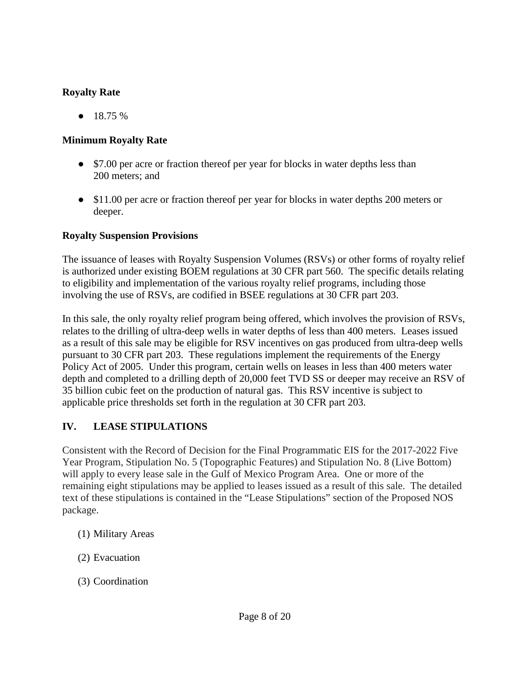## **Royalty Rate**

 $\bullet$  18.75 %

## **Minimum Royalty Rate**

- \$7.00 per acre or fraction thereof per year for blocks in water depths less than 200 meters; and
- \$11.00 per acre or fraction thereof per year for blocks in water depths 200 meters or deeper.

## **Royalty Suspension Provisions**

The issuance of leases with Royalty Suspension Volumes (RSVs) or other forms of royalty relief is authorized under existing BOEM regulations at 30 CFR part 560. The specific details relating to eligibility and implementation of the various royalty relief programs, including those involving the use of RSVs, are codified in BSEE regulations at 30 CFR part 203.

In this sale, the only royalty relief program being offered, which involves the provision of RSVs, relates to the drilling of ultra-deep wells in water depths of less than 400 meters. Leases issued as a result of this sale may be eligible for RSV incentives on gas produced from ultra-deep wells pursuant to 30 CFR part 203. These regulations implement the requirements of the Energy Policy Act of 2005. Under this program, certain wells on leases in less than 400 meters water depth and completed to a drilling depth of 20,000 feet TVD SS or deeper may receive an RSV of 35 billion cubic feet on the production of natural gas. This RSV incentive is subject to applicable price thresholds set forth in the regulation at 30 CFR part 203.

# **IV. LEASE STIPULATIONS**

Consistent with the Record of Decision for the Final Programmatic EIS for the 2017-2022 Five Year Program, Stipulation No. 5 (Topographic Features) and Stipulation No. 8 (Live Bottom) will apply to every lease sale in the Gulf of Mexico Program Area. One or more of the remaining eight stipulations may be applied to leases issued as a result of this sale. The detailed text of these stipulations is contained in the "Lease Stipulations" section of the Proposed NOS package.

- (1) Military Areas
- (2) Evacuation
- (3) Coordination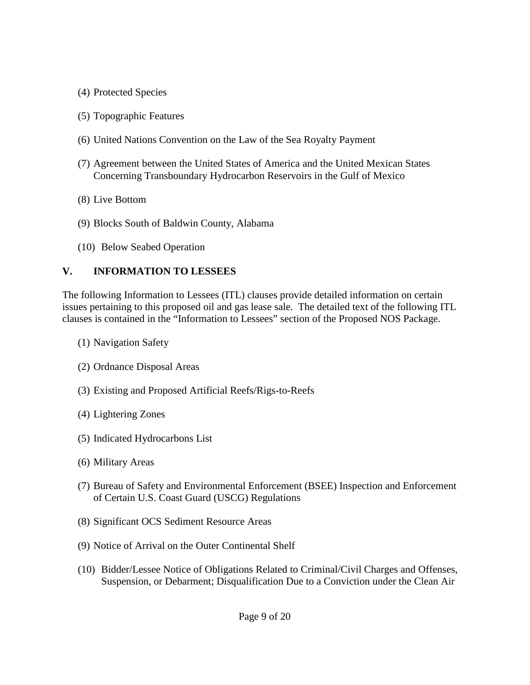- (4) Protected Species
- (5) Topographic Features
- (6) United Nations Convention on the Law of the Sea Royalty Payment
- (7) Agreement between the United States of America and the United Mexican States Concerning Transboundary Hydrocarbon Reservoirs in the Gulf of Mexico
- (8) Live Bottom
- (9) Blocks South of Baldwin County, Alabama
- (10) Below Seabed Operation

#### **V. INFORMATION TO LESSEES**

The following Information to Lessees (ITL) clauses provide detailed information on certain issues pertaining to this proposed oil and gas lease sale. The detailed text of the following ITL clauses is contained in the "Information to Lessees" section of the Proposed NOS Package.

- (1) Navigation Safety
- (2) Ordnance Disposal Areas
- (3) Existing and Proposed Artificial Reefs/Rigs-to-Reefs
- (4) Lightering Zones
- (5) Indicated Hydrocarbons List
- (6) Military Areas
- (7) Bureau of Safety and Environmental Enforcement (BSEE) Inspection and Enforcement of Certain U.S. Coast Guard (USCG) Regulations
- (8) Significant OCS Sediment Resource Areas
- (9) Notice of Arrival on the Outer Continental Shelf
- (10) Bidder/Lessee Notice of Obligations Related to Criminal/Civil Charges and Offenses, Suspension, or Debarment; Disqualification Due to a Conviction under the Clean Air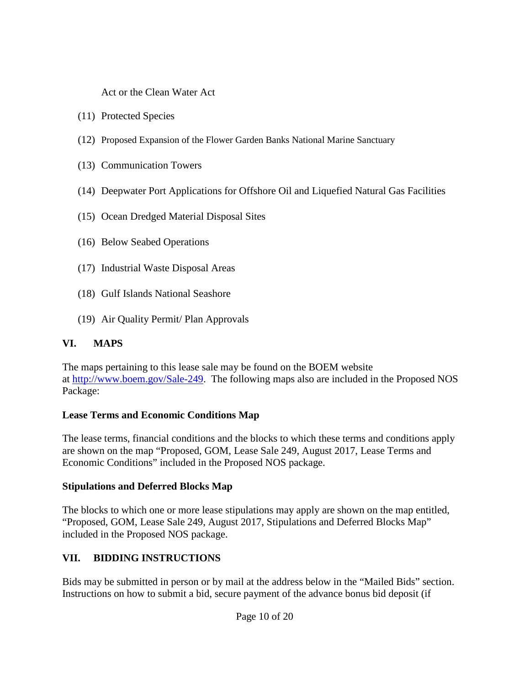Act or the Clean Water Act

- (11) Protected Species
- (12) Proposed Expansion of the Flower Garden Banks National Marine Sanctuary
- (13) Communication Towers
- (14) Deepwater Port Applications for Offshore Oil and Liquefied Natural Gas Facilities
- (15) Ocean Dredged Material Disposal Sites
- (16) Below Seabed Operations
- (17) Industrial Waste Disposal Areas
- (18) Gulf Islands National Seashore
- (19) Air Quality Permit/ Plan Approvals

## **VI. MAPS**

The maps pertaining to this lease sale may be found on the BOEM website at [http://www.boem.gov/Sale-249.](http://www.boem.gov/Sale-249) The following maps also are included in the Proposed NOS Package:

## **Lease Terms and Economic Conditions Map**

The lease terms, financial conditions and the blocks to which these terms and conditions apply are shown on the map "Proposed, GOM, Lease Sale 249, August 2017, Lease Terms and Economic Conditions" included in the Proposed NOS package.

## **Stipulations and Deferred Blocks Map**

The blocks to which one or more lease stipulations may apply are shown on the map entitled, "Proposed, GOM, Lease Sale 249, August 2017, Stipulations and Deferred Blocks Map" included in the Proposed NOS package.

## **VII. BIDDING INSTRUCTIONS**

Bids may be submitted in person or by mail at the address below in the "Mailed Bids" section. Instructions on how to submit a bid, secure payment of the advance bonus bid deposit (if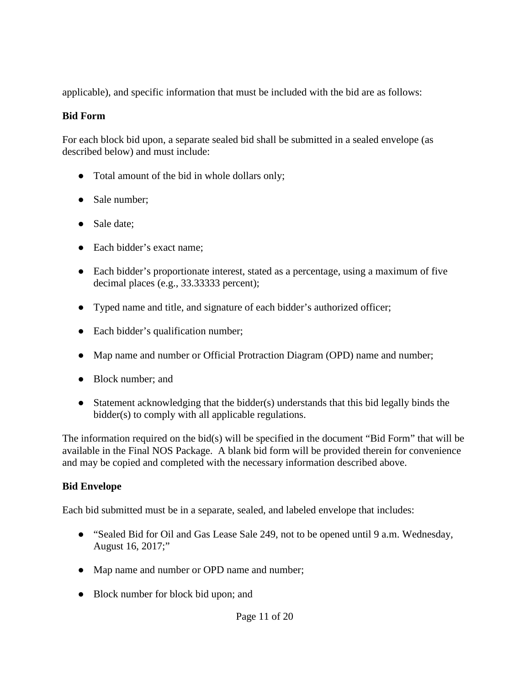applicable), and specific information that must be included with the bid are as follows:

### **Bid Form**

For each block bid upon, a separate sealed bid shall be submitted in a sealed envelope (as described below) and must include:

- Total amount of the bid in whole dollars only;
- Sale number;
- Sale date;
- Each bidder's exact name;
- Each bidder's proportionate interest, stated as a percentage, using a maximum of five decimal places (e.g., 33.33333 percent);
- Typed name and title, and signature of each bidder's authorized officer;
- Each bidder's qualification number;
- Map name and number or Official Protraction Diagram (OPD) name and number;
- Block number: and
- Statement acknowledging that the bidder(s) understands that this bid legally binds the bidder(s) to comply with all applicable regulations.

The information required on the bid(s) will be specified in the document "Bid Form" that will be available in the Final NOS Package. A blank bid form will be provided therein for convenience and may be copied and completed with the necessary information described above.

## **Bid Envelope**

Each bid submitted must be in a separate, sealed, and labeled envelope that includes:

- "Sealed Bid for Oil and Gas Lease Sale 249, not to be opened until 9 a.m. Wednesday, August 16, 2017;"
- Map name and number or OPD name and number;
- Block number for block bid upon; and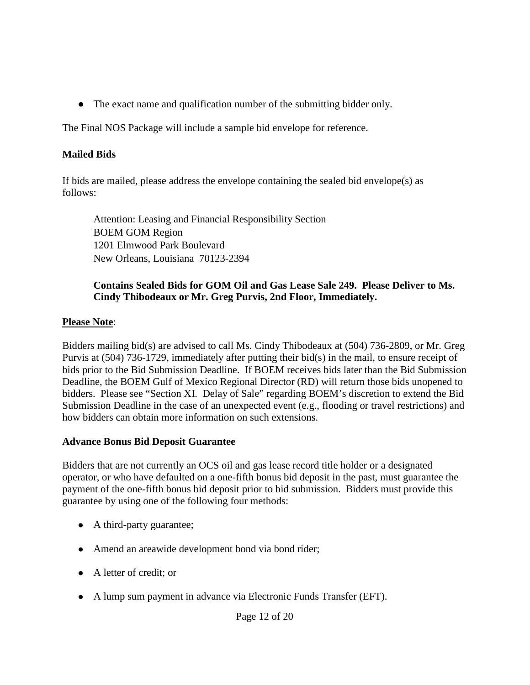● The exact name and qualification number of the submitting bidder only.

The Final NOS Package will include a sample bid envelope for reference.

#### **Mailed Bids**

If bids are mailed, please address the envelope containing the sealed bid envelope(s) as follows:

Attention: Leasing and Financial Responsibility Section BOEM GOM Region 1201 Elmwood Park Boulevard New Orleans, Louisiana 70123-2394

#### **Contains Sealed Bids for GOM Oil and Gas Lease Sale 249. Please Deliver to Ms. Cindy Thibodeaux or Mr. Greg Purvis, 2nd Floor, Immediately.**

#### **Please Note**:

Bidders mailing bid(s) are advised to call Ms. Cindy Thibodeaux at (504) 736-2809, or Mr. Greg Purvis at (504) 736-1729, immediately after putting their bid(s) in the mail, to ensure receipt of bids prior to the Bid Submission Deadline. If BOEM receives bids later than the Bid Submission Deadline, the BOEM Gulf of Mexico Regional Director (RD) will return those bids unopened to bidders. Please see "Section XI. Delay of Sale" regarding BOEM's discretion to extend the Bid Submission Deadline in the case of an unexpected event (e.g., flooding or travel restrictions) and how bidders can obtain more information on such extensions.

#### **Advance Bonus Bid Deposit Guarantee**

Bidders that are not currently an OCS oil and gas lease record title holder or a designated operator, or who have defaulted on a one-fifth bonus bid deposit in the past, must guarantee the payment of the one-fifth bonus bid deposit prior to bid submission. Bidders must provide this guarantee by using one of the following four methods:

- A third-party guarantee;
- Amend an areawide development bond via bond rider;
- A letter of credit; or
- A lump sum payment in advance via Electronic Funds Transfer (EFT).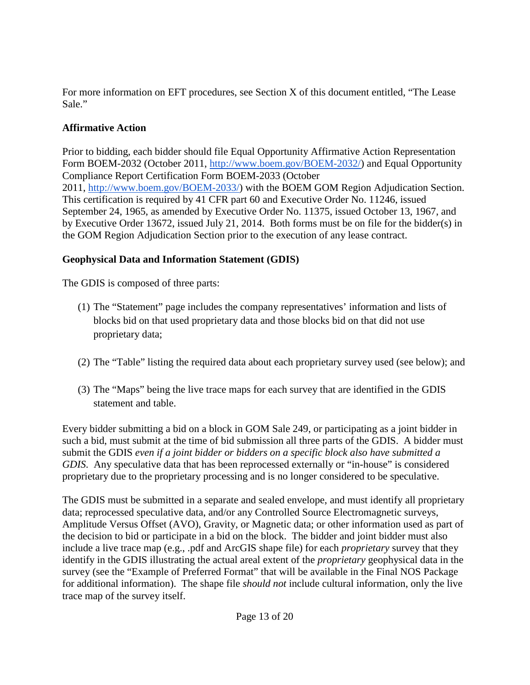For more information on EFT procedures, see Section X of this document entitled, "The Lease Sale."

## **Affirmative Action**

Prior to bidding, each bidder should file Equal Opportunity Affirmative Action Representation Form BOEM-2032 (October 2011, [http://www.boem.gov/BOEM-2032/\)](http://www.boem.gov/BOEM-2032/) and Equal Opportunity Compliance Report Certification Form BOEM-2033 (October 2011, [http://www.boem.gov/BOEM-2033/\)](http://www.boem.gov/BOEM-2033/) with the BOEM GOM Region Adjudication Section. This certification is required by 41 CFR part 60 and Executive Order No. 11246, issued September 24, 1965, as amended by Executive Order No. 11375, issued October 13, 1967, and by Executive Order 13672, issued July 21, 2014. Both forms must be on file for the bidder(s) in the GOM Region Adjudication Section prior to the execution of any lease contract.

## **Geophysical Data and Information Statement (GDIS)**

The GDIS is composed of three parts:

- (1) The "Statement" page includes the company representatives' information and lists of blocks bid on that used proprietary data and those blocks bid on that did not use proprietary data;
- (2) The "Table" listing the required data about each proprietary survey used (see below); and
- (3) The "Maps" being the live trace maps for each survey that are identified in the GDIS statement and table.

Every bidder submitting a bid on a block in GOM Sale 249, or participating as a joint bidder in such a bid, must submit at the time of bid submission all three parts of the GDIS. A bidder must submit the GDIS *even if a joint bidder or bidders on a specific block also have submitted a GDIS*. Any speculative data that has been reprocessed externally or "in-house" is considered proprietary due to the proprietary processing and is no longer considered to be speculative.

The GDIS must be submitted in a separate and sealed envelope, and must identify all proprietary data; reprocessed speculative data, and/or any Controlled Source Electromagnetic surveys, Amplitude Versus Offset (AVO), Gravity, or Magnetic data; or other information used as part of the decision to bid or participate in a bid on the block. The bidder and joint bidder must also include a live trace map (e.g., .pdf and ArcGIS shape file) for each *proprietary* survey that they identify in the GDIS illustrating the actual areal extent of the *proprietary* geophysical data in the survey (see the "Example of Preferred Format" that will be available in the Final NOS Package for additional information). The shape file *should not* include cultural information, only the live trace map of the survey itself.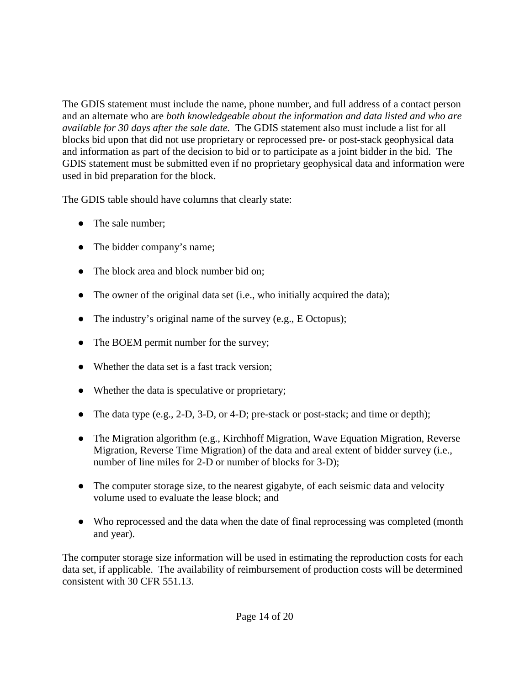The GDIS statement must include the name, phone number, and full address of a contact person and an alternate who are *both knowledgeable about the information and data listed and who are available for 30 days after the sale date.* The GDIS statement also must include a list for all blocks bid upon that did not use proprietary or reprocessed pre- or post-stack geophysical data and information as part of the decision to bid or to participate as a joint bidder in the bid. The GDIS statement must be submitted even if no proprietary geophysical data and information were used in bid preparation for the block.

The GDIS table should have columns that clearly state:

- The sale number;
- The bidder company's name;
- The block area and block number bid on;
- The owner of the original data set (i.e., who initially acquired the data);
- The industry's original name of the survey (e.g., E Octopus);
- The BOEM permit number for the survey;
- Whether the data set is a fast track version;
- Whether the data is speculative or proprietary;
- The data type  $(e.g., 2-D, 3-D, or 4-D)$ ; pre-stack or post-stack; and time or depth);
- The Migration algorithm (e.g., Kirchhoff Migration, Wave Equation Migration, Reverse Migration, Reverse Time Migration) of the data and areal extent of bidder survey (i.e., number of line miles for 2-D or number of blocks for 3-D);
- The computer storage size, to the nearest gigabyte, of each seismic data and velocity volume used to evaluate the lease block; and
- Who reprocessed and the data when the date of final reprocessing was completed (month and year).

The computer storage size information will be used in estimating the reproduction costs for each data set, if applicable. The availability of reimbursement of production costs will be determined consistent with 30 CFR 551.13.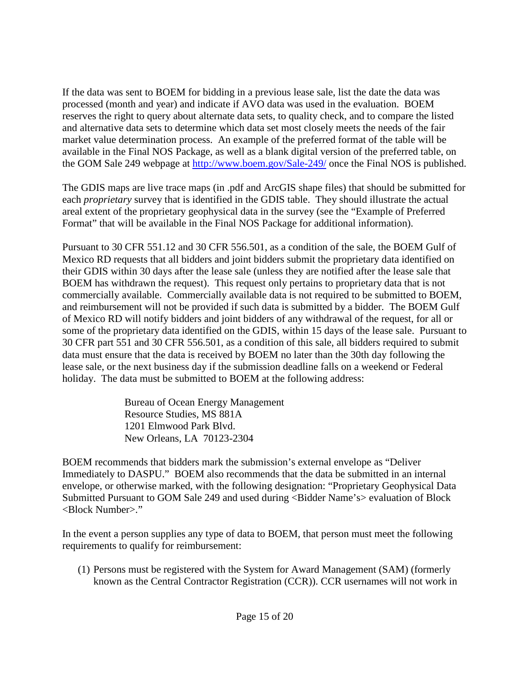If the data was sent to BOEM for bidding in a previous lease sale, list the date the data was processed (month and year) and indicate if AVO data was used in the evaluation. BOEM reserves the right to query about alternate data sets, to quality check, and to compare the listed and alternative data sets to determine which data set most closely meets the needs of the fair market value determination process. An example of the preferred format of the table will be available in the Final NOS Package, as well as a blank digital version of the preferred table, on the GOM Sale 249 webpage at<http://www.boem.gov/Sale-249/> once the Final NOS is published.

The GDIS maps are live trace maps (in .pdf and ArcGIS shape files) that should be submitted for each *proprietary* survey that is identified in the GDIS table. They should illustrate the actual areal extent of the proprietary geophysical data in the survey (see the "Example of Preferred Format" that will be available in the Final NOS Package for additional information).

Pursuant to 30 CFR 551.12 and 30 CFR 556.501, as a condition of the sale, the BOEM Gulf of Mexico RD requests that all bidders and joint bidders submit the proprietary data identified on their GDIS within 30 days after the lease sale (unless they are notified after the lease sale that BOEM has withdrawn the request). This request only pertains to proprietary data that is not commercially available. Commercially available data is not required to be submitted to BOEM, and reimbursement will not be provided if such data is submitted by a bidder. The BOEM Gulf of Mexico RD will notify bidders and joint bidders of any withdrawal of the request, for all or some of the proprietary data identified on the GDIS, within 15 days of the lease sale. Pursuant to 30 CFR part 551 and 30 CFR 556.501, as a condition of this sale, all bidders required to submit data must ensure that the data is received by BOEM no later than the 30th day following the lease sale, or the next business day if the submission deadline falls on a weekend or Federal holiday. The data must be submitted to BOEM at the following address:

> Bureau of Ocean Energy Management Resource Studies, MS 881A 1201 Elmwood Park Blvd. New Orleans, LA 70123-2304

BOEM recommends that bidders mark the submission's external envelope as "Deliver Immediately to DASPU." BOEM also recommends that the data be submitted in an internal envelope, or otherwise marked, with the following designation: "Proprietary Geophysical Data Submitted Pursuant to GOM Sale 249 and used during <Bidder Name's> evaluation of Block <Block Number>."

In the event a person supplies any type of data to BOEM, that person must meet the following requirements to qualify for reimbursement:

(1) Persons must be registered with the System for Award Management (SAM) (formerly known as the Central Contractor Registration (CCR)). CCR usernames will not work in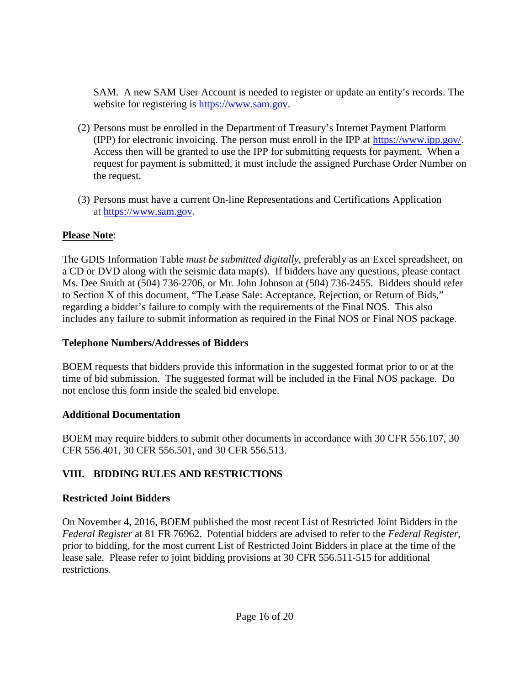SAM. A new SAM User Account is needed to register or update an entity's records. The website for registering is [https://www.sam.gov.](https://www.sam.gov/)

- (2) Persons must be enrolled in the Department of Treasury's Internet Payment Platform (IPP) for electronic invoicing. The person must enroll in the IPP at [https://www.ipp.gov/.](https://www.ipp.gov/) Access then will be granted to use the IPP for submitting requests for payment. When a request for payment is submitted, it must include the assigned Purchase Order Number on the request.
- (3) Persons must have a current On-line Representations and Certifications Application at [https://www.sam.gov.](https://www.sam.gov/)

## **Please Note**:

The GDIS Information Table *must be submitted digitally*, preferably as an Excel spreadsheet, on a CD or DVD along with the seismic data map(s). If bidders have any questions, please contact Ms. Dee Smith at (504) 736-2706, or Mr. John Johnson at (504) 736-2455. Bidders should refer to Section X of this document, "The Lease Sale: Acceptance, Rejection, or Return of Bids," regarding a bidder's failure to comply with the requirements of the Final NOS. This also includes any failure to submit information as required in the Final NOS or Final NOS package.

## **Telephone Numbers/Addresses of Bidders**

BOEM requests that bidders provide this information in the suggested format prior to or at the time of bid submission. The suggested format will be included in the Final NOS package. Do not enclose this form inside the sealed bid envelope.

## **Additional Documentation**

BOEM may require bidders to submit other documents in accordance with 30 CFR 556.107, 30 CFR 556.401, 30 CFR 556.501, and 30 CFR 556.513.

# **VIII. BIDDING RULES AND RESTRICTIONS**

## **Restricted Joint Bidders**

On November 4, 2016, BOEM published the most recent List of Restricted Joint Bidders in the *Federal Register* at 81 FR 76962. Potential bidders are advised to refer to the *Federal Register*, prior to bidding, for the most current List of Restricted Joint Bidders in place at the time of the lease sale. Please refer to joint bidding provisions at 30 CFR 556.511-515 for additional restrictions.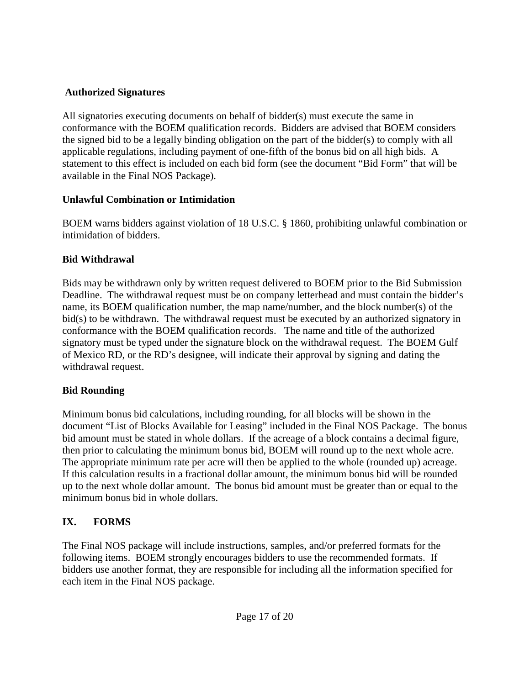### **Authorized Signatures**

All signatories executing documents on behalf of bidder(s) must execute the same in conformance with the BOEM qualification records. Bidders are advised that BOEM considers the signed bid to be a legally binding obligation on the part of the bidder(s) to comply with all applicable regulations, including payment of one-fifth of the bonus bid on all high bids. A statement to this effect is included on each bid form (see the document "Bid Form" that will be available in the Final NOS Package).

## **Unlawful Combination or Intimidation**

BOEM warns bidders against violation of 18 U.S.C. § 1860, prohibiting unlawful combination or intimidation of bidders.

## **Bid Withdrawal**

Bids may be withdrawn only by written request delivered to BOEM prior to the Bid Submission Deadline. The withdrawal request must be on company letterhead and must contain the bidder's name, its BOEM qualification number, the map name/number, and the block number(s) of the bid(s) to be withdrawn. The withdrawal request must be executed by an authorized signatory in conformance with the BOEM qualification records. The name and title of the authorized signatory must be typed under the signature block on the withdrawal request. The BOEM Gulf of Mexico RD, or the RD's designee, will indicate their approval by signing and dating the withdrawal request.

## **Bid Rounding**

Minimum bonus bid calculations, including rounding, for all blocks will be shown in the document "List of Blocks Available for Leasing" included in the Final NOS Package. The bonus bid amount must be stated in whole dollars. If the acreage of a block contains a decimal figure, then prior to calculating the minimum bonus bid, BOEM will round up to the next whole acre. The appropriate minimum rate per acre will then be applied to the whole (rounded up) acreage. If this calculation results in a fractional dollar amount, the minimum bonus bid will be rounded up to the next whole dollar amount. The bonus bid amount must be greater than or equal to the minimum bonus bid in whole dollars.

# **IX. FORMS**

The Final NOS package will include instructions, samples, and/or preferred formats for the following items. BOEM strongly encourages bidders to use the recommended formats. If bidders use another format, they are responsible for including all the information specified for each item in the Final NOS package.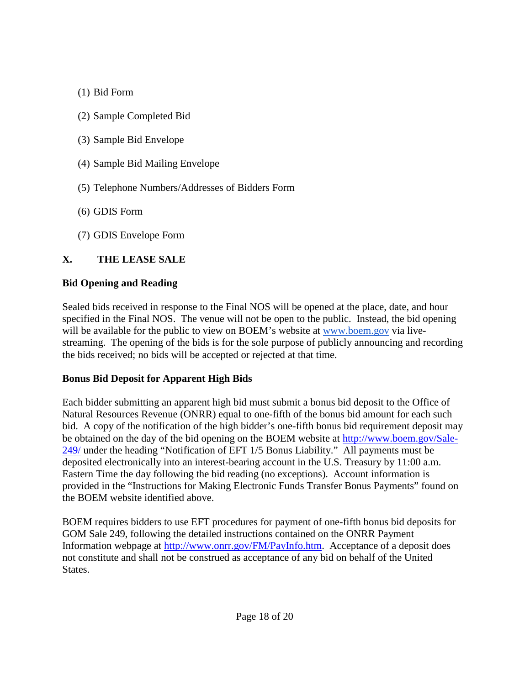- (1) Bid Form
- (2) Sample Completed Bid
- (3) Sample Bid Envelope
- (4) Sample Bid Mailing Envelope
- (5) Telephone Numbers/Addresses of Bidders Form
- (6) GDIS Form
- (7) GDIS Envelope Form

# **X. THE LEASE SALE**

## **Bid Opening and Reading**

Sealed bids received in response to the Final NOS will be opened at the place, date, and hour specified in the Final NOS. The venue will not be open to the public. Instead, the bid opening will be available for the public to view on BOEM's website at [www.boem.gov](http://www.boem.gov/) via livestreaming. The opening of the bids is for the sole purpose of publicly announcing and recording the bids received; no bids will be accepted or rejected at that time.

## **Bonus Bid Deposit for Apparent High Bids**

Each bidder submitting an apparent high bid must submit a bonus bid deposit to the Office of Natural Resources Revenue (ONRR) equal to one-fifth of the bonus bid amount for each such bid. A copy of the notification of the high bidder's one-fifth bonus bid requirement deposit may be obtained on the day of the bid opening on the BOEM website at [http://www.boem.gov/Sale-](http://www.boem.gov/Sale-249/)[249/](http://www.boem.gov/Sale-249/) under the heading "Notification of EFT 1/5 Bonus Liability." All payments must be deposited electronically into an interest-bearing account in the U.S. Treasury by 11:00 a.m. Eastern Time the day following the bid reading (no exceptions). Account information is provided in the "Instructions for Making Electronic Funds Transfer Bonus Payments" found on the BOEM website identified above.

BOEM requires bidders to use EFT procedures for payment of one-fifth bonus bid deposits for GOM Sale 249, following the detailed instructions contained on the ONRR Payment Information webpage at [http://www.onrr.gov/FM/PayInfo.htm.](http://www.onrr.gov/FM/PayInfo.htm) Acceptance of a deposit does not constitute and shall not be construed as acceptance of any bid on behalf of the United States.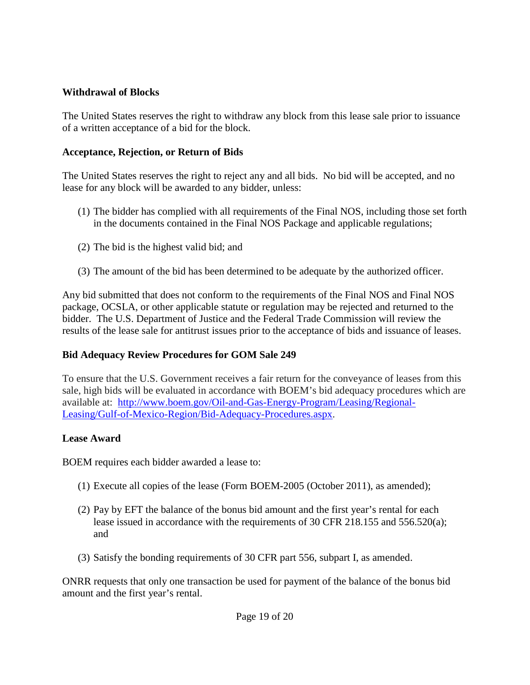#### **Withdrawal of Blocks**

The United States reserves the right to withdraw any block from this lease sale prior to issuance of a written acceptance of a bid for the block.

### **Acceptance, Rejection, or Return of Bids**

The United States reserves the right to reject any and all bids. No bid will be accepted, and no lease for any block will be awarded to any bidder, unless:

- (1) The bidder has complied with all requirements of the Final NOS, including those set forth in the documents contained in the Final NOS Package and applicable regulations;
- (2) The bid is the highest valid bid; and
- (3) The amount of the bid has been determined to be adequate by the authorized officer.

Any bid submitted that does not conform to the requirements of the Final NOS and Final NOS package, OCSLA, or other applicable statute or regulation may be rejected and returned to the bidder. The U.S. Department of Justice and the Federal Trade Commission will review the results of the lease sale for antitrust issues prior to the acceptance of bids and issuance of leases.

## **Bid Adequacy Review Procedures for GOM Sale 249**

To ensure that the U.S. Government receives a fair return for the conveyance of leases from this sale, high bids will be evaluated in accordance with BOEM's bid adequacy procedures which are available at: [http://www.boem.gov/Oil-and-Gas-Energy-Program/Leasing/Regional-](http://www.boem.gov/Oil-and-Gas-Energy-Program/Leasing/Regional-Leasing/Gulf-of-Mexico-Region/Bid-Adequacy-Procedures.aspx)[Leasing/Gulf-of-Mexico-Region/Bid-Adequacy-Procedures.aspx.](http://www.boem.gov/Oil-and-Gas-Energy-Program/Leasing/Regional-Leasing/Gulf-of-Mexico-Region/Bid-Adequacy-Procedures.aspx)

## **Lease Award**

BOEM requires each bidder awarded a lease to:

- (1) Execute all copies of the lease (Form BOEM-2005 (October 2011), as amended);
- (2) Pay by EFT the balance of the bonus bid amount and the first year's rental for each lease issued in accordance with the requirements of 30 CFR 218.155 and 556.520(a); and
- (3) Satisfy the bonding requirements of 30 CFR part 556, subpart I, as amended.

ONRR requests that only one transaction be used for payment of the balance of the bonus bid amount and the first year's rental.